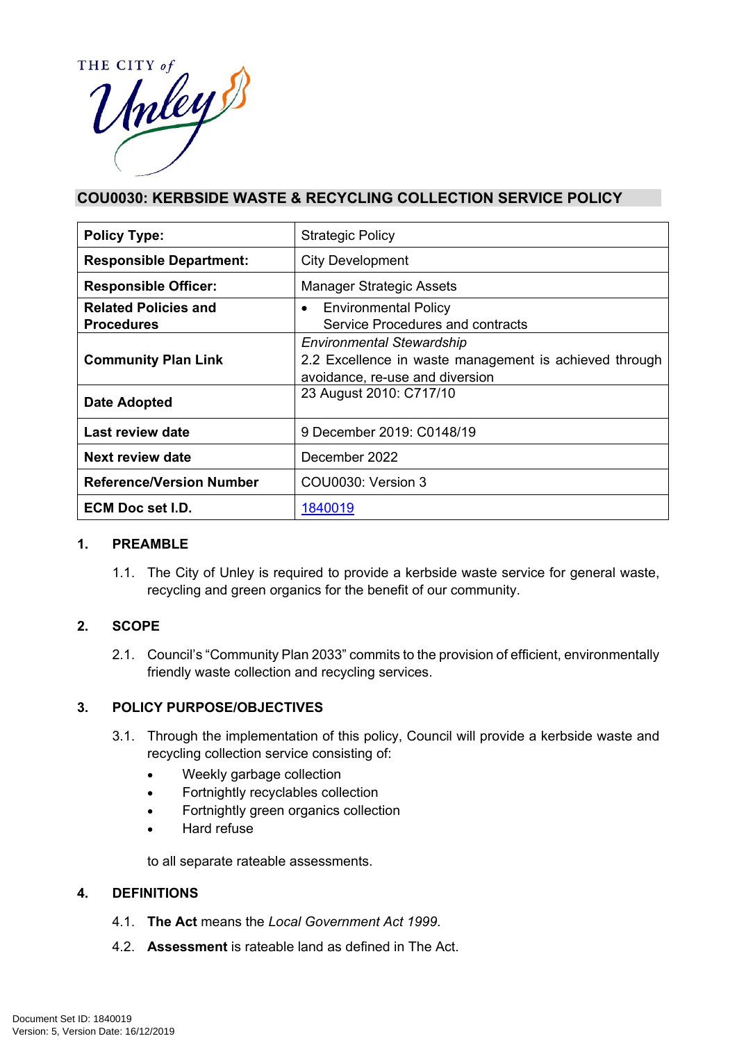

# **COU0030: KERBSIDE WASTE & RECYCLING COLLECTION SERVICE POLICY**

| <b>Policy Type:</b>             | <b>Strategic Policy</b>                                |
|---------------------------------|--------------------------------------------------------|
| <b>Responsible Department:</b>  | <b>City Development</b>                                |
| <b>Responsible Officer:</b>     | <b>Manager Strategic Assets</b>                        |
| <b>Related Policies and</b>     | <b>Environmental Policy</b><br>$\bullet$               |
| <b>Procedures</b>               | Service Procedures and contracts                       |
|                                 | <b>Environmental Stewardship</b>                       |
| <b>Community Plan Link</b>      | 2.2 Excellence in waste management is achieved through |
|                                 | avoidance, re-use and diversion                        |
| Date Adopted                    | 23 August 2010: C717/10                                |
| <b>Last review date</b>         | 9 December 2019: C0148/19                              |
| Next review date                | December 2022                                          |
| <b>Reference/Version Number</b> | COU0030: Version 3                                     |
| ECM Doc set I.D.                | 1840019                                                |

# **1. PREAMBLE**

1.1. The City of Unley is required to provide a kerbside waste service for general waste, recycling and green organics for the benefit of our community.

# **2. SCOPE**

2.1. Council's "Community Plan 2033" commits to the provision of efficient, environmentally friendly waste collection and recycling services.

# **3. POLICY PURPOSE/OBJECTIVES**

- 3.1. Through the implementation of this policy, Council will provide a kerbside waste and recycling collection service consisting of:
	- Weekly garbage collection
	- Fortnightly recyclables collection
	- Fortnightly green organics collection
	- Hard refuse

to all separate rateable assessments.

# **4. DEFINITIONS**

- 4.1. **The Act** means the *Local Government Act 1999*.
- 4.2. **Assessment** is rateable land as defined in The Act.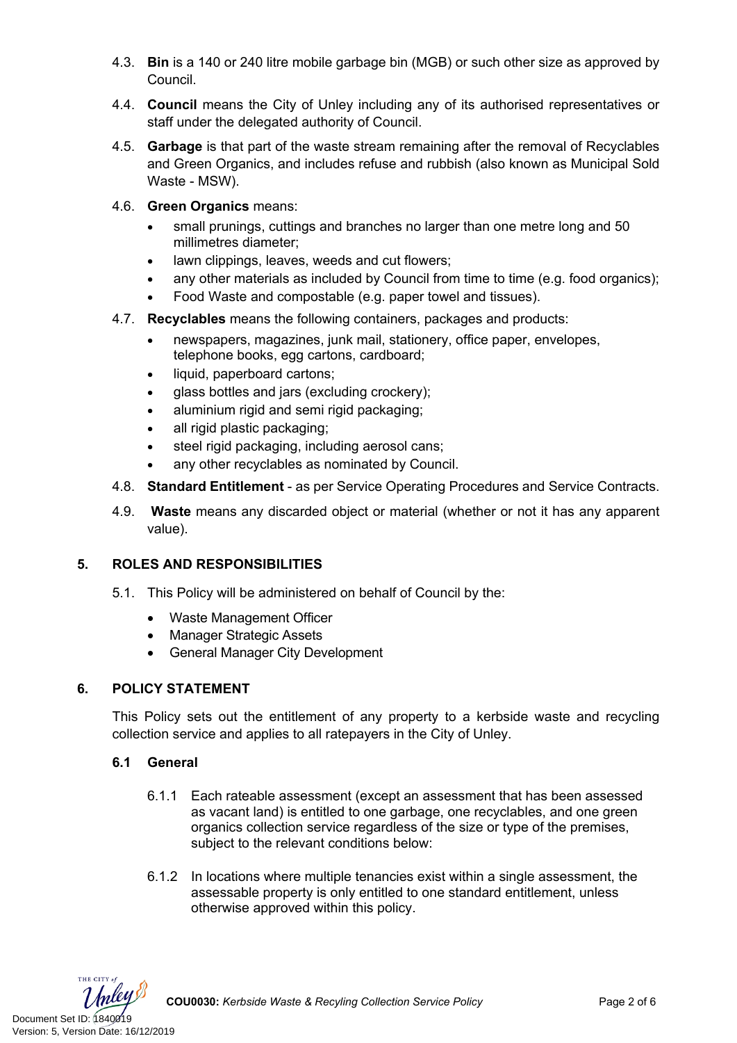- 4.3. **Bin** is a 140 or 240 litre mobile garbage bin (MGB) or such other size as approved by Council.
- 4.4. **Council** means the City of Unley including any of its authorised representatives or staff under the delegated authority of Council.
- 4.5. **Garbage** is that part of the waste stream remaining after the removal of Recyclables and Green Organics, and includes refuse and rubbish (also known as Municipal Sold Waste - MSW).
- 4.6. **Green Organics** means:
	- small prunings, cuttings and branches no larger than one metre long and 50 millimetres diameter;
	- lawn clippings, leaves, weeds and cut flowers;
	- any other materials as included by Council from time to time (e.g. food organics);
	- Food Waste and compostable (e.g. paper towel and tissues).
- 4.7. **Recyclables** means the following containers, packages and products:
	- newspapers, magazines, junk mail, stationery, office paper, envelopes, telephone books, egg cartons, cardboard;
	- liquid, paperboard cartons:
	- glass bottles and jars (excluding crockery);
	- aluminium rigid and semi rigid packaging;
	- all rigid plastic packaging;
	- steel rigid packaging, including aerosol cans;
	- any other recyclables as nominated by Council.
- 4.8. **Standard Entitlement** as per Service Operating Procedures and Service Contracts.
- 4.9. **Waste** means any discarded object or material (whether or not it has any apparent value).

# **5. ROLES AND RESPONSIBILITIES**

- 5.1. This Policy will be administered on behalf of Council by the:
	- Waste Management Officer
	- Manager Strategic Assets
	- General Manager City Development

# **6. POLICY STATEMENT**

This Policy sets out the entitlement of any property to a kerbside waste and recycling collection service and applies to all ratepayers in the City of Unley.

# **6.1 General**

- 6.1.1 Each rateable assessment (except an assessment that has been assessed as vacant land) is entitled to one garbage, one recyclables, and one green organics collection service regardless of the size or type of the premises, subject to the relevant conditions below:
- 6.1.2 In locations where multiple tenancies exist within a single assessment, the assessable property is only entitled to one standard entitlement, unless otherwise approved within this policy.

THE CITY of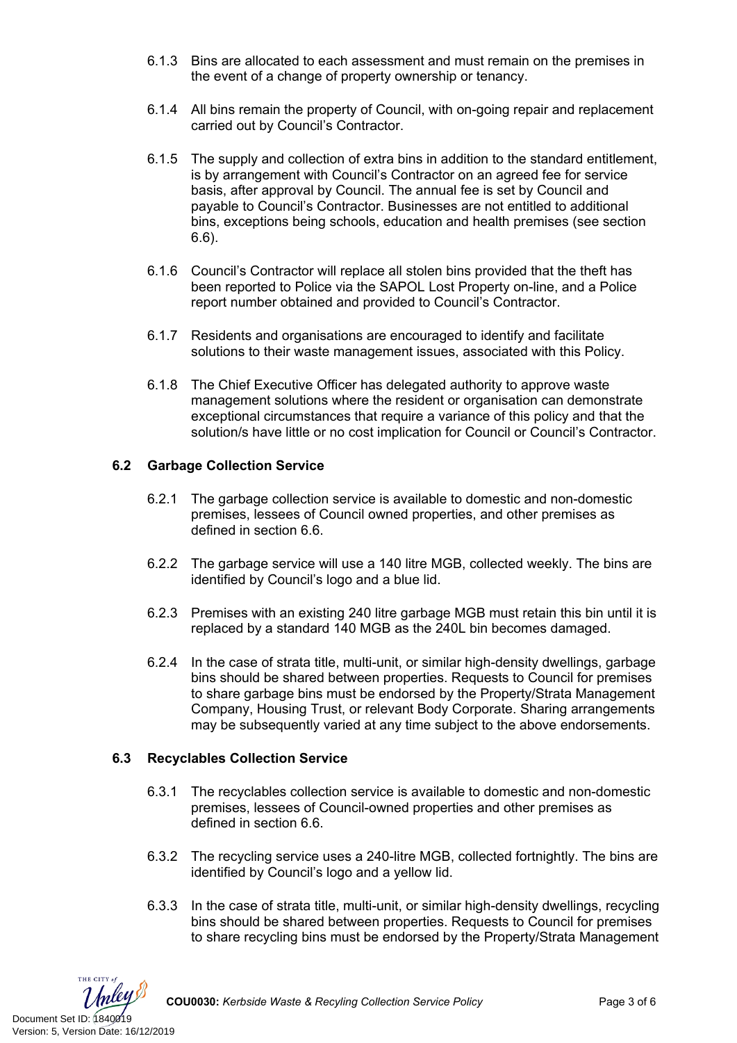- 6.1.3 Bins are allocated to each assessment and must remain on the premises in the event of a change of property ownership or tenancy.
- 6.1.4 All bins remain the property of Council, with on-going repair and replacement carried out by Council's Contractor.
- 6.1.5 The supply and collection of extra bins in addition to the standard entitlement, is by arrangement with Council's Contractor on an agreed fee for service basis, after approval by Council. The annual fee is set by Council and payable to Council's Contractor. Businesses are not entitled to additional bins, exceptions being schools, education and health premises (see section 6.6).
- 6.1.6 Council's Contractor will replace all stolen bins provided that the theft has been reported to Police via the SAPOL Lost Property on-line, and a Police report number obtained and provided to Council's Contractor.
- 6.1.7 Residents and organisations are encouraged to identify and facilitate solutions to their waste management issues, associated with this Policy.
- 6.1.8 The Chief Executive Officer has delegated authority to approve waste management solutions where the resident or organisation can demonstrate exceptional circumstances that require a variance of this policy and that the solution/s have little or no cost implication for Council or Council's Contractor.

# **6.2 Garbage Collection Service**

- 6.2.1 The garbage collection service is available to domestic and non-domestic premises, lessees of Council owned properties, and other premises as defined in section 6.6.
- 6.2.2 The garbage service will use a 140 litre MGB, collected weekly. The bins are identified by Council's logo and a blue lid.
- 6.2.3 Premises with an existing 240 litre garbage MGB must retain this bin until it is replaced by a standard 140 MGB as the 240L bin becomes damaged.
- 6.2.4 In the case of strata title, multi-unit, or similar high-density dwellings, garbage bins should be shared between properties. Requests to Council for premises to share garbage bins must be endorsed by the Property/Strata Management Company, Housing Trust, or relevant Body Corporate. Sharing arrangements may be subsequently varied at any time subject to the above endorsements.

# **6.3 Recyclables Collection Service**

- 6.3.1 The recyclables collection service is available to domestic and non-domestic premises, lessees of Council-owned properties and other premises as defined in section 6.6.
- 6.3.2 The recycling service uses a 240-litre MGB, collected fortnightly. The bins are identified by Council's logo and a yellow lid.
- 6.3.3 In the case of strata title, multi-unit, or similar high-density dwellings, recycling bins should be shared between properties. Requests to Council for premises to share recycling bins must be endorsed by the Property/Strata Management

THE CITY of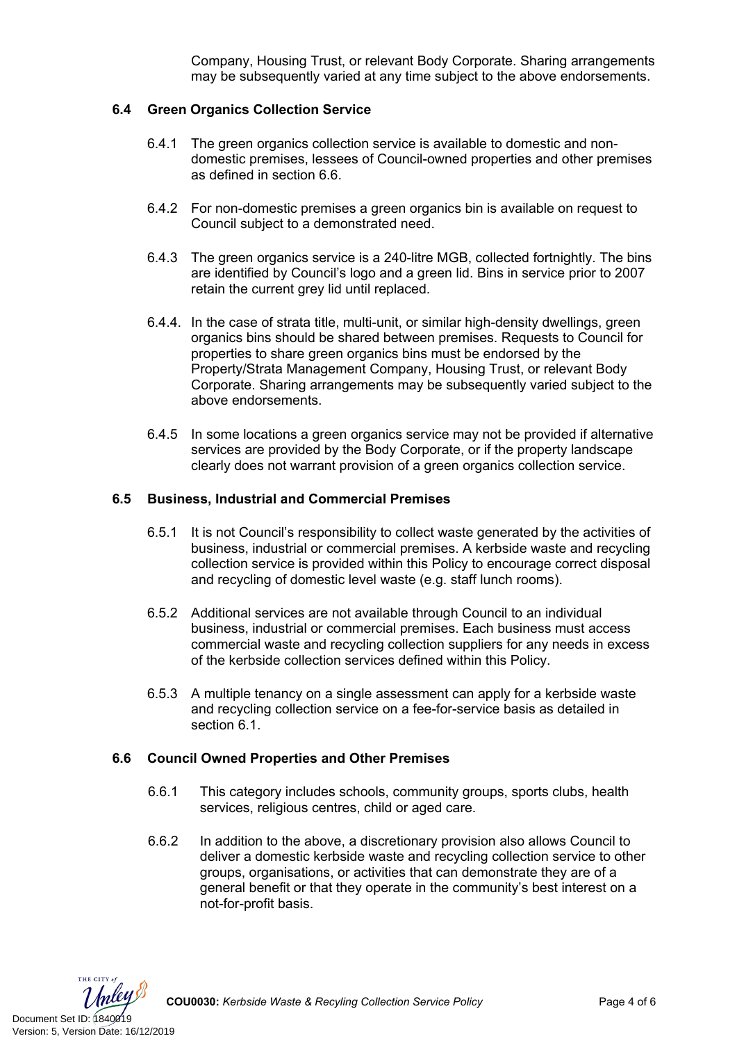Company, Housing Trust, or relevant Body Corporate. Sharing arrangements may be subsequently varied at any time subject to the above endorsements.

#### **6.4 Green Organics Collection Service**

- 6.4.1 The green organics collection service is available to domestic and nondomestic premises, lessees of Council-owned properties and other premises as defined in section 6.6.
- 6.4.2 For non-domestic premises a green organics bin is available on request to Council subject to a demonstrated need.
- 6.4.3 The green organics service is a 240-litre MGB, collected fortnightly. The bins are identified by Council's logo and a green lid. Bins in service prior to 2007 retain the current grey lid until replaced.
- 6.4.4. In the case of strata title, multi-unit, or similar high-density dwellings, green organics bins should be shared between premises. Requests to Council for properties to share green organics bins must be endorsed by the Property/Strata Management Company, Housing Trust, or relevant Body Corporate. Sharing arrangements may be subsequently varied subject to the above endorsements.
- 6.4.5 In some locations a green organics service may not be provided if alternative services are provided by the Body Corporate, or if the property landscape clearly does not warrant provision of a green organics collection service.

#### **6.5 Business, Industrial and Commercial Premises**

- 6.5.1 It is not Council's responsibility to collect waste generated by the activities of business, industrial or commercial premises. A kerbside waste and recycling collection service is provided within this Policy to encourage correct disposal and recycling of domestic level waste (e.g. staff lunch rooms).
- 6.5.2 Additional services are not available through Council to an individual business, industrial or commercial premises. Each business must access commercial waste and recycling collection suppliers for any needs in excess of the kerbside collection services defined within this Policy.
- 6.5.3 A multiple tenancy on a single assessment can apply for a kerbside waste and recycling collection service on a fee-for-service basis as detailed in section 6.1.

#### **6.6 Council Owned Properties and Other Premises**

- 6.6.1 This category includes schools, community groups, sports clubs, health services, religious centres, child or aged care.
- 6.6.2 In addition to the above, a discretionary provision also allows Council to deliver a domestic kerbside waste and recycling collection service to other groups, organisations, or activities that can demonstrate they are of a general benefit or that they operate in the community's best interest on a not-for-profit basis.

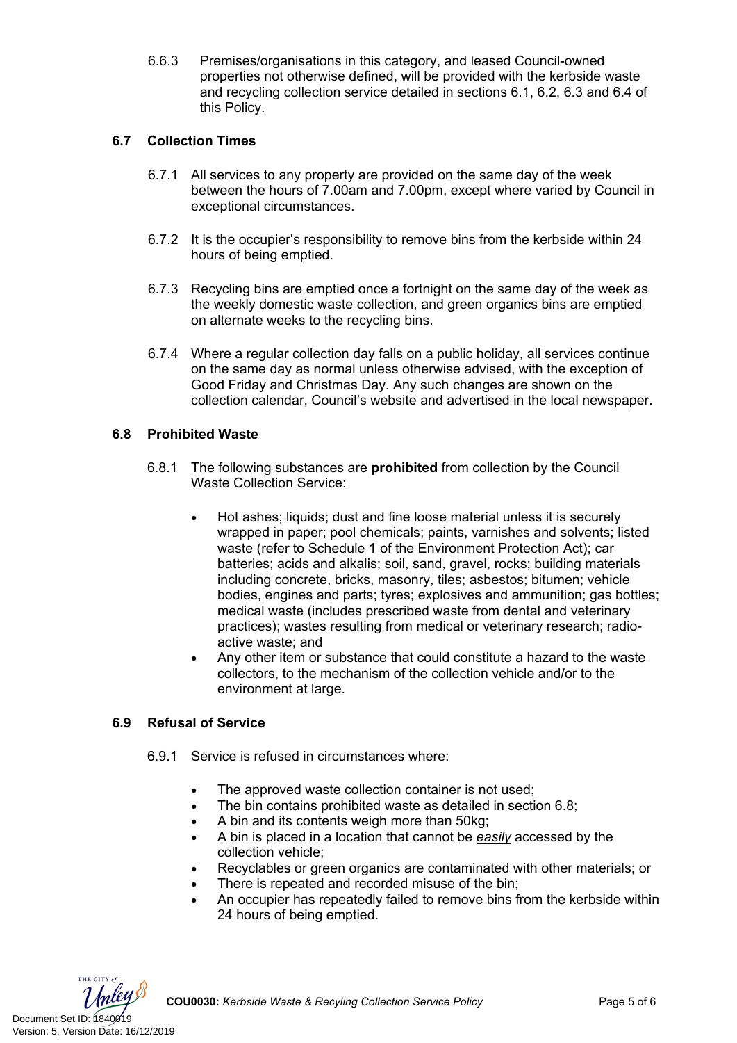6.6.3 Premises/organisations in this category, and leased Council-owned properties not otherwise defined, will be provided with the kerbside waste and recycling collection service detailed in sections 6.1, 6.2, 6.3 and 6.4 of this Policy.

# **6.7 Collection Times**

- 6.7.1 All services to any property are provided on the same day of the week between the hours of 7.00am and 7.00pm, except where varied by Council in exceptional circumstances.
- 6.7.2 It is the occupier's responsibility to remove bins from the kerbside within 24 hours of being emptied.
- 6.7.3 Recycling bins are emptied once a fortnight on the same day of the week as the weekly domestic waste collection, and green organics bins are emptied on alternate weeks to the recycling bins.
- 6.7.4 Where a regular collection day falls on a public holiday, all services continue on the same day as normal unless otherwise advised, with the exception of Good Friday and Christmas Day. Any such changes are shown on the collection calendar, Council's website and advertised in the local newspaper.

# **6.8 Prohibited Waste**

- 6.8.1 The following substances are **prohibited** from collection by the Council Waste Collection Service:
	- Hot ashes; liquids; dust and fine loose material unless it is securely wrapped in paper; pool chemicals; paints, varnishes and solvents; listed waste (refer to Schedule 1 of the Environment Protection Act); car batteries; acids and alkalis; soil, sand, gravel, rocks; building materials including concrete, bricks, masonry, tiles; asbestos; bitumen; vehicle bodies, engines and parts; tyres; explosives and ammunition; gas bottles; medical waste (includes prescribed waste from dental and veterinary practices); wastes resulting from medical or veterinary research; radioactive waste; and
	- Any other item or substance that could constitute a hazard to the waste collectors, to the mechanism of the collection vehicle and/or to the environment at large.

# **6.9 Refusal of Service**

- 6.9.1 Service is refused in circumstances where:
	- The approved waste collection container is not used:
	- The bin contains prohibited waste as detailed in section 6.8;
	- A bin and its contents weigh more than 50kg;
	- A bin is placed in a location that cannot be *easily* accessed by the collection vehicle;
	- Recyclables or green organics are contaminated with other materials; or
	- There is repeated and recorded misuse of the bin;
	- An occupier has repeatedly failed to remove bins from the kerbside within 24 hours of being emptied.

THE CITY